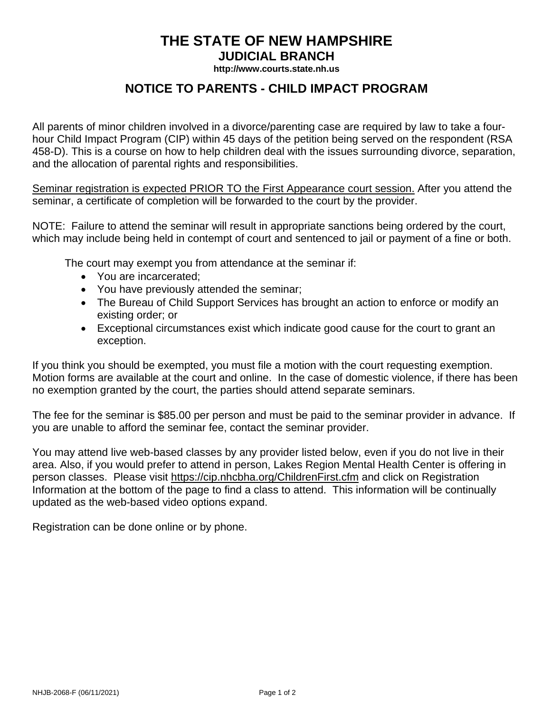## **THE STATE OF NEW HAMPSHIRE JUDICIAL BRANCH**

**http://www.courts.state.nh.us**

## **NOTICE TO PARENTS - CHILD IMPACT PROGRAM**

All parents of minor children involved in a divorce/parenting case are required by law to take a fourhour Child Impact Program (CIP) within 45 days of the petition being served on the respondent (RSA 458-D). This is a course on how to help children deal with the issues surrounding divorce, separation, and the allocation of parental rights and responsibilities.

Seminar registration is expected PRIOR TO the First Appearance court session. After you attend the seminar, a certificate of completion will be forwarded to the court by the provider.

NOTE: Failure to attend the seminar will result in appropriate sanctions being ordered by the court, which may include being held in contempt of court and sentenced to jail or payment of a fine or both.

The court may exempt you from attendance at the seminar if:

- You are incarcerated;
- You have previously attended the seminar;
- The Bureau of Child Support Services has brought an action to enforce or modify an existing order; or
- Exceptional circumstances exist which indicate good cause for the court to grant an exception.

If you think you should be exempted, you must file a motion with the court requesting exemption. Motion forms are available at the court and online. In the case of domestic violence, if there has been no exemption granted by the court, the parties should attend separate seminars.

The fee for the seminar is \$85.00 per person and must be paid to the seminar provider in advance. If you are unable to afford the seminar fee, contact the seminar provider.

You may attend live web-based classes by any provider listed below, even if you do not live in their area. Also, if you would prefer to attend in person, Lakes Region Mental Health Center is offering in person classes. Please visit https://cip.nhcbha.org/ChildrenFirst.cfm and click on Registration Information at the bottom of the page to find a class to attend. This information will be continually updated as the web-based video options expand.

Registration can be done online or by phone.